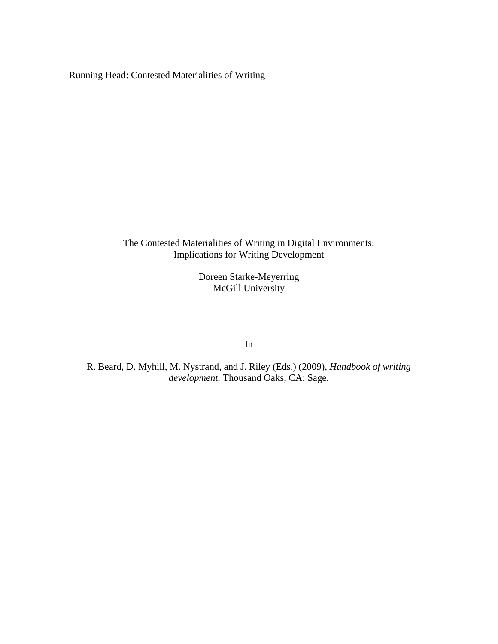Running Head: Contested Materialities of Writing

# The Contested Materialities of Writing in Digital Environments: Implications for Writing Development

Doreen Starke-Meyerring McGill University

In

R. Beard, D. Myhill, M. Nystrand, and J. Riley (Eds.) (2009), *Handbook of writing development.* Thousand Oaks, CA: Sage.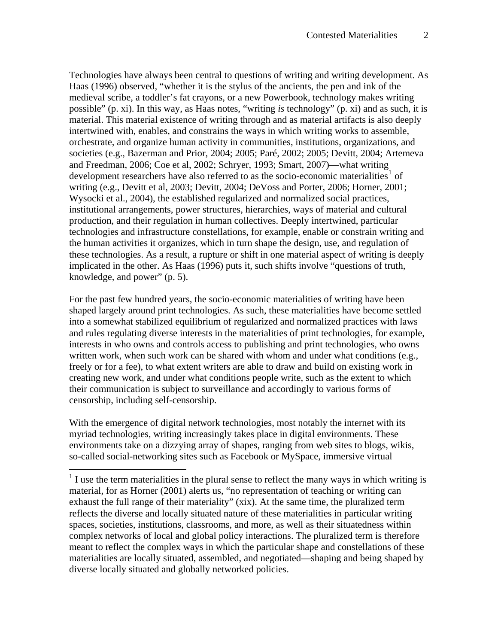Technologies have always been central to questions of writing and writing development. As Haas (1996) observed, "whether it is the stylus of the ancients, the pen and ink of the medieval scribe, a toddler's fat crayons, or a new Powerbook, technology makes writing possible" (p. xi). In this way, as Haas notes, "writing *is* technology" (p. xi) and as such, it is material. This material existence of writing through and as material artifacts is also deeply intertwined with, enables, and constrains the ways in which writing works to assemble, orchestrate, and organize human activity in communities, institutions, organizations, and societies (e.g., Bazerman and Prior, 2004; 2005; Paré, 2002; 2005; Devitt, 2004; Artemeva and Freedman, 2006; Coe et al, 2002; Schryer, 1993; Smart, 2007)—what writing development researchers have also referred to as the socio-economic materialities<sup>[1](#page-1-0)</sup> of writing (e.g., Devitt et al, 2003; Devitt, 2004; DeVoss and Porter, 2006; Horner, 2001; Wysocki et al., 2004), the established regularized and normalized social practices, institutional arrangements, power structures, hierarchies, ways of material and cultural production, and their regulation in human collectives. Deeply intertwined, particular technologies and infrastructure constellations, for example, enable or constrain writing and the human activities it organizes, which in turn shape the design, use, and regulation of these technologies. As a result, a rupture or shift in one material aspect of writing is deeply implicated in the other. As Haas (1996) puts it, such shifts involve "questions of truth, knowledge, and power" (p. 5).

For the past few hundred years, the socio-economic materialities of writing have been shaped largely around print technologies. As such, these materialities have become settled into a somewhat stabilized equilibrium of regularized and normalized practices with laws and rules regulating diverse interests in the materialities of print technologies, for example, interests in who owns and controls access to publishing and print technologies, who owns written work, when such work can be shared with whom and under what conditions (e.g., freely or for a fee), to what extent writers are able to draw and build on existing work in creating new work, and under what conditions people write, such as the extent to which their communication is subject to surveillance and accordingly to various forms of censorship, including self-censorship.

With the emergence of digital network technologies, most notably the internet with its myriad technologies, writing increasingly takes place in digital environments. These environments take on a dizzying array of shapes, ranging from web sites to blogs, wikis, so-called social-networking sites such as Facebook or MySpace, immersive virtual

1

<span id="page-1-0"></span> $<sup>1</sup>$  I use the term materialities in the plural sense to reflect the many ways in which writing is</sup> material, for as Horner (2001) alerts us, "no representation of teaching or writing can exhaust the full range of their materiality" (xix). At the same time, the pluralized term reflects the diverse and locally situated nature of these materialities in particular writing spaces, societies, institutions, classrooms, and more, as well as their situatedness within complex networks of local and global policy interactions. The pluralized term is therefore meant to reflect the complex ways in which the particular shape and constellations of these materialities are locally situated, assembled, and negotiated—shaping and being shaped by diverse locally situated and globally networked policies.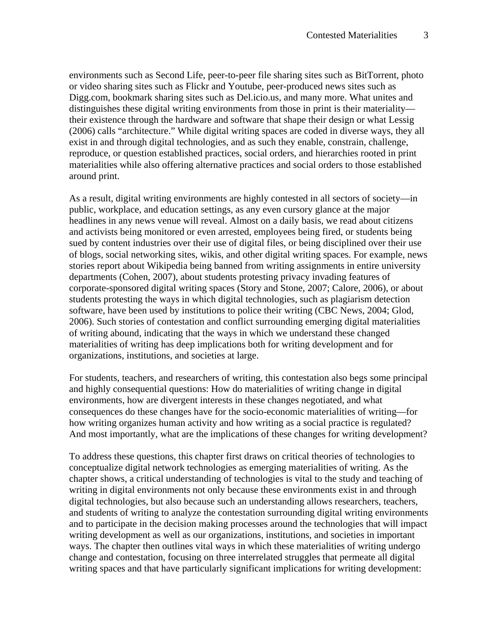environments such as Second Life, peer-to-peer file sharing sites such as BitTorrent, photo or video sharing sites such as Flickr and Youtube, peer-produced news sites such as Digg.com, bookmark sharing sites such as Del.icio.us, and many more. What unites and distinguishes these digital writing environments from those in print is their materiality their existence through the hardware and software that shape their design or what Lessig (2006) calls "architecture." While digital writing spaces are coded in diverse ways, they all exist in and through digital technologies, and as such they enable, constrain, challenge, reproduce, or question established practices, social orders, and hierarchies rooted in print materialities while also offering alternative practices and social orders to those established around print.

As a result, digital writing environments are highly contested in all sectors of society—in public, workplace, and education settings, as any even cursory glance at the major headlines in any news venue will reveal. Almost on a daily basis, we read about citizens and activists being monitored or even arrested, employees being fired, or students being sued by content industries over their use of digital files, or being disciplined over their use of blogs, social networking sites, wikis, and other digital writing spaces. For example, news stories report about Wikipedia being banned from writing assignments in entire university departments (Cohen, 2007), about students protesting privacy invading features of corporate-sponsored digital writing spaces (Story and Stone, 2007; Calore, 2006), or about students protesting the ways in which digital technologies, such as plagiarism detection software, have been used by institutions to police their writing (CBC News, 2004; Glod, 2006). Such stories of contestation and conflict surrounding emerging digital materialities of writing abound, indicating that the ways in which we understand these changed materialities of writing has deep implications both for writing development and for organizations, institutions, and societies at large.

For students, teachers, and researchers of writing, this contestation also begs some principal and highly consequential questions: How do materialities of writing change in digital environments, how are divergent interests in these changes negotiated, and what consequences do these changes have for the socio-economic materialities of writing—for how writing organizes human activity and how writing as a social practice is regulated? And most importantly, what are the implications of these changes for writing development?

To address these questions, this chapter first draws on critical theories of technologies to conceptualize digital network technologies as emerging materialities of writing. As the chapter shows, a critical understanding of technologies is vital to the study and teaching of writing in digital environments not only because these environments exist in and through digital technologies, but also because such an understanding allows researchers, teachers, and students of writing to analyze the contestation surrounding digital writing environments and to participate in the decision making processes around the technologies that will impact writing development as well as our organizations, institutions, and societies in important ways. The chapter then outlines vital ways in which these materialities of writing undergo change and contestation, focusing on three interrelated struggles that permeate all digital writing spaces and that have particularly significant implications for writing development: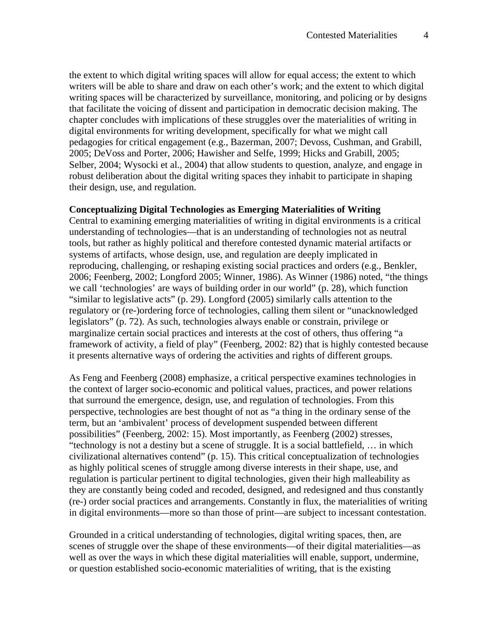the extent to which digital writing spaces will allow for equal access; the extent to which writers will be able to share and draw on each other's work; and the extent to which digital writing spaces will be characterized by surveillance, monitoring, and policing or by designs that facilitate the voicing of dissent and participation in democratic decision making. The chapter concludes with implications of these struggles over the materialities of writing in digital environments for writing development, specifically for what we might call pedagogies for critical engagement (e.g., Bazerman, 2007; Devoss, Cushman, and Grabill, 2005; DeVoss and Porter, 2006; Hawisher and Selfe, 1999; Hicks and Grabill, 2005; Selber, 2004; Wysocki et al., 2004) that allow students to question, analyze, and engage in robust deliberation about the digital writing spaces they inhabit to participate in shaping their design, use, and regulation.

#### **Conceptualizing Digital Technologies as Emerging Materialities of Writing**

Central to examining emerging materialities of writing in digital environments is a critical understanding of technologies—that is an understanding of technologies not as neutral tools, but rather as highly political and therefore contested dynamic material artifacts or systems of artifacts, whose design, use, and regulation are deeply implicated in reproducing, challenging, or reshaping existing social practices and orders (e.g., Benkler, 2006; Feenberg, 2002; Longford 2005; Winner, 1986). As Winner (1986) noted, "the things we call 'technologies' are ways of building order in our world" (p. 28), which function "similar to legislative acts" (p. 29). Longford (2005) similarly calls attention to the regulatory or (re-)ordering force of technologies, calling them silent or "unacknowledged legislators" (p. 72). As such, technologies always enable or constrain, privilege or marginalize certain social practices and interests at the cost of others, thus offering "a framework of activity, a field of play" (Feenberg, 2002: 82) that is highly contested because it presents alternative ways of ordering the activities and rights of different groups.

As Feng and Feenberg (2008) emphasize, a critical perspective examines technologies in the context of larger socio-economic and political values, practices, and power relations that surround the emergence, design, use, and regulation of technologies. From this perspective, technologies are best thought of not as "a thing in the ordinary sense of the term, but an 'ambivalent' process of development suspended between different possibilities" (Feenberg, 2002: 15). Most importantly, as Feenberg (2002) stresses, "technology is not a destiny but a scene of struggle. It is a social battlefield, … in which civilizational alternatives contend" (p. 15). This critical conceptualization of technologies as highly political scenes of struggle among diverse interests in their shape, use, and regulation is particular pertinent to digital technologies, given their high malleability as they are constantly being coded and recoded, designed, and redesigned and thus constantly (re-) order social practices and arrangements. Constantly in flux, the materialities of writing in digital environments—more so than those of print—are subject to incessant contestation.

Grounded in a critical understanding of technologies, digital writing spaces, then, are scenes of struggle over the shape of these environments—of their digital materialities—as well as over the ways in which these digital materialities will enable, support, undermine, or question established socio-economic materialities of writing, that is the existing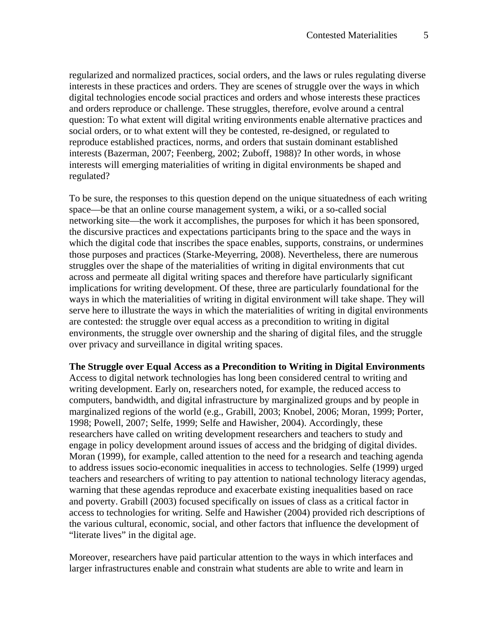regularized and normalized practices, social orders, and the laws or rules regulating diverse interests in these practices and orders. They are scenes of struggle over the ways in which digital technologies encode social practices and orders and whose interests these practices and orders reproduce or challenge. These struggles, therefore, evolve around a central question: To what extent will digital writing environments enable alternative practices and social orders, or to what extent will they be contested, re-designed, or regulated to reproduce established practices, norms, and orders that sustain dominant established interests (Bazerman, 2007; Feenberg, 2002; Zuboff, 1988)? In other words, in whose interests will emerging materialities of writing in digital environments be shaped and regulated?

To be sure, the responses to this question depend on the unique situatedness of each writing space—be that an online course management system, a wiki, or a so-called social networking site—the work it accomplishes, the purposes for which it has been sponsored, the discursive practices and expectations participants bring to the space and the ways in which the digital code that inscribes the space enables, supports, constrains, or undermines those purposes and practices (Starke-Meyerring, 2008). Nevertheless, there are numerous struggles over the shape of the materialities of writing in digital environments that cut across and permeate all digital writing spaces and therefore have particularly significant implications for writing development. Of these, three are particularly foundational for the ways in which the materialities of writing in digital environment will take shape. They will serve here to illustrate the ways in which the materialities of writing in digital environments are contested: the struggle over equal access as a precondition to writing in digital environments, the struggle over ownership and the sharing of digital files, and the struggle over privacy and surveillance in digital writing spaces.

**The Struggle over Equal Access as a Precondition to Writing in Digital Environments** 

Access to digital network technologies has long been considered central to writing and writing development. Early on, researchers noted, for example, the reduced access to computers, bandwidth, and digital infrastructure by marginalized groups and by people in marginalized regions of the world (e.g., Grabill, 2003; Knobel, 2006; Moran, 1999; Porter, 1998; Powell, 2007; Selfe, 1999; Selfe and Hawisher, 2004). Accordingly, these researchers have called on writing development researchers and teachers to study and engage in policy development around issues of access and the bridging of digital divides. Moran (1999), for example, called attention to the need for a research and teaching agenda to address issues socio-economic inequalities in access to technologies. Selfe (1999) urged teachers and researchers of writing to pay attention to national technology literacy agendas, warning that these agendas reproduce and exacerbate existing inequalities based on race and poverty. Grabill (2003) focused specifically on issues of class as a critical factor in access to technologies for writing. Selfe and Hawisher (2004) provided rich descriptions of the various cultural, economic, social, and other factors that influence the development of "literate lives" in the digital age.

Moreover, researchers have paid particular attention to the ways in which interfaces and larger infrastructures enable and constrain what students are able to write and learn in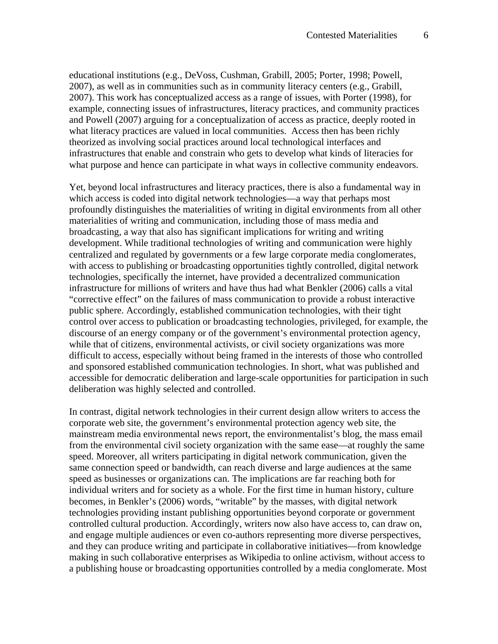educational institutions (e.g., DeVoss, Cushman, Grabill, 2005; Porter, 1998; Powell, 2007), as well as in communities such as in community literacy centers (e.g., Grabill, 2007). This work has conceptualized access as a range of issues, with Porter (1998), for example, connecting issues of infrastructures, literacy practices, and community practices and Powell (2007) arguing for a conceptualization of access as practice, deeply rooted in what literacy practices are valued in local communities. Access then has been richly theorized as involving social practices around local technological interfaces and infrastructures that enable and constrain who gets to develop what kinds of literacies for what purpose and hence can participate in what ways in collective community endeavors.

Yet, beyond local infrastructures and literacy practices, there is also a fundamental way in which access is coded into digital network technologies—a way that perhaps most profoundly distinguishes the materialities of writing in digital environments from all other materialities of writing and communication, including those of mass media and broadcasting, a way that also has significant implications for writing and writing development. While traditional technologies of writing and communication were highly centralized and regulated by governments or a few large corporate media conglomerates, with access to publishing or broadcasting opportunities tightly controlled, digital network technologies, specifically the internet, have provided a decentralized communication infrastructure for millions of writers and have thus had what Benkler (2006) calls a vital "corrective effect" on the failures of mass communication to provide a robust interactive public sphere. Accordingly, established communication technologies, with their tight control over access to publication or broadcasting technologies, privileged, for example, the discourse of an energy company or of the government's environmental protection agency, while that of citizens, environmental activists, or civil society organizations was more difficult to access, especially without being framed in the interests of those who controlled and sponsored established communication technologies. In short, what was published and accessible for democratic deliberation and large-scale opportunities for participation in such deliberation was highly selected and controlled.

In contrast, digital network technologies in their current design allow writers to access the corporate web site, the government's environmental protection agency web site, the mainstream media environmental news report, the environmentalist's blog, the mass email from the environmental civil society organization with the same ease—at roughly the same speed. Moreover, all writers participating in digital network communication, given the same connection speed or bandwidth, can reach diverse and large audiences at the same speed as businesses or organizations can. The implications are far reaching both for individual writers and for society as a whole. For the first time in human history, culture becomes, in Benkler's (2006) words, "writable" by the masses, with digital network technologies providing instant publishing opportunities beyond corporate or government controlled cultural production. Accordingly, writers now also have access to, can draw on, and engage multiple audiences or even co-authors representing more diverse perspectives, and they can produce writing and participate in collaborative initiatives—from knowledge making in such collaborative enterprises as Wikipedia to online activism, without access to a publishing house or broadcasting opportunities controlled by a media conglomerate. Most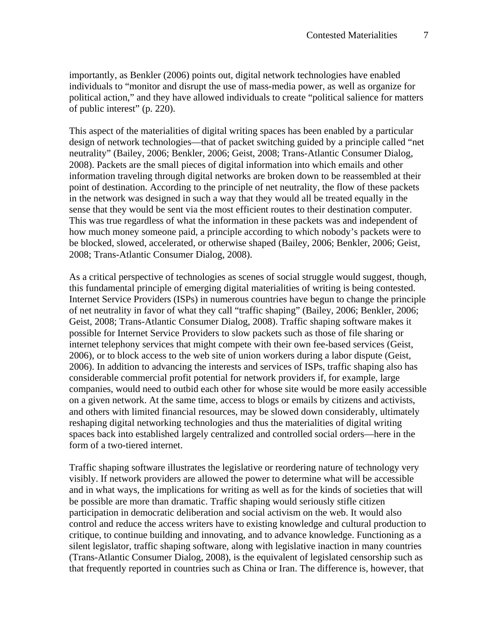importantly, as Benkler (2006) points out, digital network technologies have enabled individuals to "monitor and disrupt the use of mass-media power, as well as organize for political action," and they have allowed individuals to create "political salience for matters of public interest" (p. 220).

This aspect of the materialities of digital writing spaces has been enabled by a particular design of network technologies—that of packet switching guided by a principle called "net neutrality" (Bailey, 2006; Benkler, 2006; Geist, 2008; Trans-Atlantic Consumer Dialog, 2008). Packets are the small pieces of digital information into which emails and other information traveling through digital networks are broken down to be reassembled at their point of destination. According to the principle of net neutrality, the flow of these packets in the network was designed in such a way that they would all be treated equally in the sense that they would be sent via the most efficient routes to their destination computer. This was true regardless of what the information in these packets was and independent of how much money someone paid, a principle according to which nobody's packets were to be blocked, slowed, accelerated, or otherwise shaped (Bailey, 2006; Benkler, 2006; Geist, 2008; Trans-Atlantic Consumer Dialog, 2008).

As a critical perspective of technologies as scenes of social struggle would suggest, though, this fundamental principle of emerging digital materialities of writing is being contested. Internet Service Providers (ISPs) in numerous countries have begun to change the principle of net neutrality in favor of what they call "traffic shaping" (Bailey, 2006; Benkler, 2006; Geist, 2008; Trans-Atlantic Consumer Dialog, 2008). Traffic shaping software makes it possible for Internet Service Providers to slow packets such as those of file sharing or internet telephony services that might compete with their own fee-based services (Geist, 2006), or to block access to the web site of union workers during a labor dispute (Geist, 2006). In addition to advancing the interests and services of ISPs, traffic shaping also has considerable commercial profit potential for network providers if, for example, large companies, would need to outbid each other for whose site would be more easily accessible on a given network. At the same time, access to blogs or emails by citizens and activists, and others with limited financial resources, may be slowed down considerably, ultimately reshaping digital networking technologies and thus the materialities of digital writing spaces back into established largely centralized and controlled social orders—here in the form of a two-tiered internet.

Traffic shaping software illustrates the legislative or reordering nature of technology very visibly. If network providers are allowed the power to determine what will be accessible and in what ways, the implications for writing as well as for the kinds of societies that will be possible are more than dramatic. Traffic shaping would seriously stifle citizen participation in democratic deliberation and social activism on the web. It would also control and reduce the access writers have to existing knowledge and cultural production to critique, to continue building and innovating, and to advance knowledge. Functioning as a silent legislator, traffic shaping software, along with legislative inaction in many countries (Trans-Atlantic Consumer Dialog, 2008), is the equivalent of legislated censorship such as that frequently reported in countries such as China or Iran. The difference is, however, that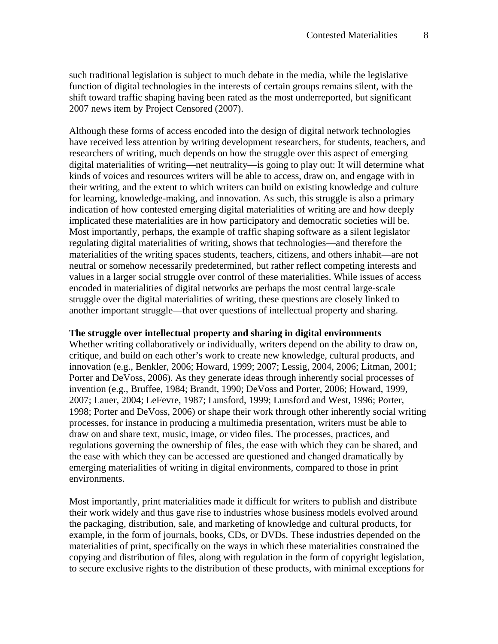such traditional legislation is subject to much debate in the media, while the legislative function of digital technologies in the interests of certain groups remains silent, with the shift toward traffic shaping having been rated as the most underreported, but significant 2007 news item by Project Censored (2007).

Although these forms of access encoded into the design of digital network technologies have received less attention by writing development researchers, for students, teachers, and researchers of writing, much depends on how the struggle over this aspect of emerging digital materialities of writing—net neutrality—is going to play out: It will determine what kinds of voices and resources writers will be able to access, draw on, and engage with in their writing, and the extent to which writers can build on existing knowledge and culture for learning, knowledge-making, and innovation. As such, this struggle is also a primary indication of how contested emerging digital materialities of writing are and how deeply implicated these materialities are in how participatory and democratic societies will be. Most importantly, perhaps, the example of traffic shaping software as a silent legislator regulating digital materialities of writing, shows that technologies—and therefore the materialities of the writing spaces students, teachers, citizens, and others inhabit—are not neutral or somehow necessarily predetermined, but rather reflect competing interests and values in a larger social struggle over control of these materialities. While issues of access encoded in materialities of digital networks are perhaps the most central large-scale struggle over the digital materialities of writing, these questions are closely linked to another important struggle—that over questions of intellectual property and sharing.

#### **The struggle over intellectual property and sharing in digital environments**

Whether writing collaboratively or individually, writers depend on the ability to draw on, critique, and build on each other's work to create new knowledge, cultural products, and innovation (e.g., Benkler, 2006; Howard, 1999; 2007; Lessig, 2004, 2006; Litman, 2001; Porter and DeVoss, 2006). As they generate ideas through inherently social processes of invention (e.g., Bruffee, 1984; Brandt, 1990; DeVoss and Porter, 2006; Howard, 1999, 2007; Lauer, 2004; LeFevre, 1987; Lunsford, 1999; Lunsford and West, 1996; Porter, 1998; Porter and DeVoss, 2006) or shape their work through other inherently social writing processes, for instance in producing a multimedia presentation, writers must be able to draw on and share text, music, image, or video files. The processes, practices, and regulations governing the ownership of files, the ease with which they can be shared, and the ease with which they can be accessed are questioned and changed dramatically by emerging materialities of writing in digital environments, compared to those in print environments.

Most importantly, print materialities made it difficult for writers to publish and distribute their work widely and thus gave rise to industries whose business models evolved around the packaging, distribution, sale, and marketing of knowledge and cultural products, for example, in the form of journals, books, CDs, or DVDs. These industries depended on the materialities of print, specifically on the ways in which these materialities constrained the copying and distribution of files, along with regulation in the form of copyright legislation, to secure exclusive rights to the distribution of these products, with minimal exceptions for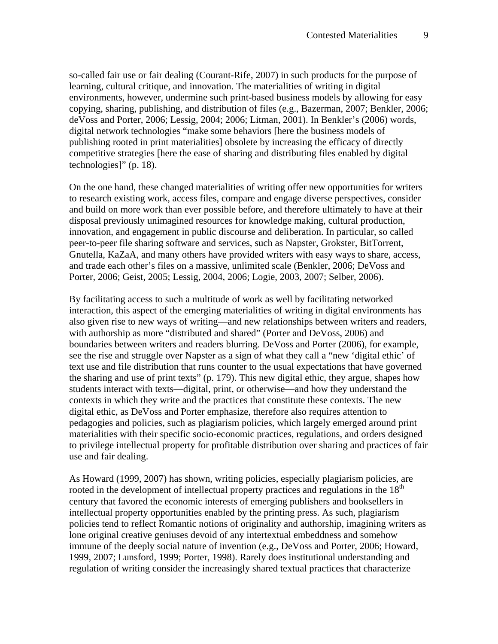so-called fair use or fair dealing (Courant-Rife, 2007) in such products for the purpose of learning, cultural critique, and innovation. The materialities of writing in digital environments, however, undermine such print-based business models by allowing for easy copying, sharing, publishing, and distribution of files (e.g., Bazerman, 2007; Benkler, 2006; deVoss and Porter, 2006; Lessig, 2004; 2006; Litman, 2001). In Benkler's (2006) words, digital network technologies "make some behaviors [here the business models of publishing rooted in print materialities] obsolete by increasing the efficacy of directly competitive strategies [here the ease of sharing and distributing files enabled by digital technologies]" (p. 18).

On the one hand, these changed materialities of writing offer new opportunities for writers to research existing work, access files, compare and engage diverse perspectives, consider and build on more work than ever possible before, and therefore ultimately to have at their disposal previously unimagined resources for knowledge making, cultural production, innovation, and engagement in public discourse and deliberation. In particular, so called peer-to-peer file sharing software and services, such as Napster, Grokster, BitTorrent, Gnutella, KaZaA, and many others have provided writers with easy ways to share, access, and trade each other's files on a massive, unlimited scale (Benkler, 2006; DeVoss and Porter, 2006; Geist, 2005; Lessig, 2004, 2006; Logie, 2003, 2007; Selber, 2006).

By facilitating access to such a multitude of work as well by facilitating networked interaction, this aspect of the emerging materialities of writing in digital environments has also given rise to new ways of writing—and new relationships between writers and readers, with authorship as more "distributed and shared" (Porter and DeVoss, 2006) and boundaries between writers and readers blurring. DeVoss and Porter (2006), for example, see the rise and struggle over Napster as a sign of what they call a "new 'digital ethic' of text use and file distribution that runs counter to the usual expectations that have governed the sharing and use of print texts" (p. 179). This new digital ethic, they argue, shapes how students interact with texts—digital, print, or otherwise—and how they understand the contexts in which they write and the practices that constitute these contexts. The new digital ethic, as DeVoss and Porter emphasize, therefore also requires attention to pedagogies and policies, such as plagiarism policies, which largely emerged around print materialities with their specific socio-economic practices, regulations, and orders designed to privilege intellectual property for profitable distribution over sharing and practices of fair use and fair dealing.

As Howard (1999, 2007) has shown, writing policies, especially plagiarism policies, are rooted in the development of intellectual property practices and regulations in the  $18<sup>th</sup>$ century that favored the economic interests of emerging publishers and booksellers in intellectual property opportunities enabled by the printing press. As such, plagiarism policies tend to reflect Romantic notions of originality and authorship, imagining writers as lone original creative geniuses devoid of any intertextual embeddness and somehow immune of the deeply social nature of invention (e.g., DeVoss and Porter, 2006; Howard, 1999, 2007; Lunsford, 1999; Porter, 1998). Rarely does institutional understanding and regulation of writing consider the increasingly shared textual practices that characterize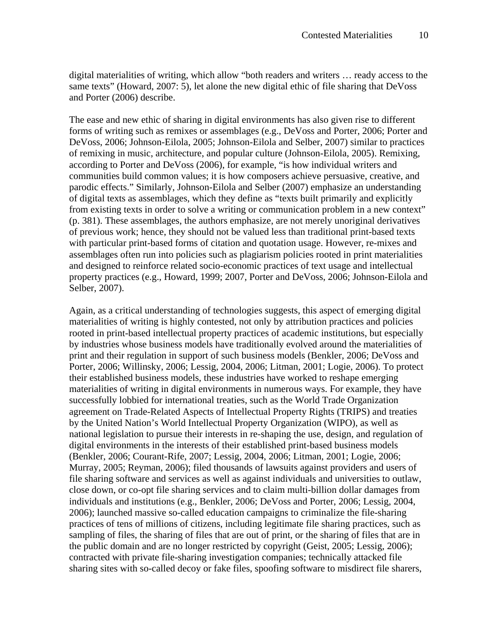digital materialities of writing, which allow "both readers and writers … ready access to the same texts" (Howard, 2007: 5), let alone the new digital ethic of file sharing that DeVoss and Porter (2006) describe.

The ease and new ethic of sharing in digital environments has also given rise to different forms of writing such as remixes or assemblages (e.g., DeVoss and Porter, 2006; Porter and DeVoss, 2006; Johnson-Eilola, 2005; Johnson-Eilola and Selber, 2007) similar to practices of remixing in music, architecture, and popular culture (Johnson-Eilola, 2005). Remixing, according to Porter and DeVoss (2006), for example, "is how individual writers and communities build common values; it is how composers achieve persuasive, creative, and parodic effects." Similarly, Johnson-Eilola and Selber (2007) emphasize an understanding of digital texts as assemblages, which they define as "texts built primarily and explicitly from existing texts in order to solve a writing or communication problem in a new context" (p. 381). These assemblages, the authors emphasize, are not merely unoriginal derivatives of previous work; hence, they should not be valued less than traditional print-based texts with particular print-based forms of citation and quotation usage. However, re-mixes and assemblages often run into policies such as plagiarism policies rooted in print materialities and designed to reinforce related socio-economic practices of text usage and intellectual property practices (e.g., Howard, 1999; 2007, Porter and DeVoss, 2006; Johnson-Eilola and Selber, 2007).

Again, as a critical understanding of technologies suggests, this aspect of emerging digital materialities of writing is highly contested, not only by attribution practices and policies rooted in print-based intellectual property practices of academic institutions, but especially by industries whose business models have traditionally evolved around the materialities of print and their regulation in support of such business models (Benkler, 2006; DeVoss and Porter, 2006; Willinsky, 2006; Lessig, 2004, 2006; Litman, 2001; Logie, 2006). To protect their established business models, these industries have worked to reshape emerging materialities of writing in digital environments in numerous ways. For example, they have successfully lobbied for international treaties, such as the World Trade Organization agreement on Trade-Related Aspects of Intellectual Property Rights (TRIPS) and treaties by the United Nation's World Intellectual Property Organization (WIPO), as well as national legislation to pursue their interests in re-shaping the use, design, and regulation of digital environments in the interests of their established print-based business models (Benkler, 2006; Courant-Rife, 2007; Lessig, 2004, 2006; Litman, 2001; Logie, 2006; Murray, 2005; Reyman, 2006); filed thousands of lawsuits against providers and users of file sharing software and services as well as against individuals and universities to outlaw, close down, or co-opt file sharing services and to claim multi-billion dollar damages from individuals and institutions (e.g., Benkler, 2006; DeVoss and Porter, 2006; Lessig, 2004, 2006); launched massive so-called education campaigns to criminalize the file-sharing practices of tens of millions of citizens, including legitimate file sharing practices, such as sampling of files, the sharing of files that are out of print, or the sharing of files that are in the public domain and are no longer restricted by copyright (Geist, 2005; Lessig, 2006); contracted with private file-sharing investigation companies; technically attacked file sharing sites with so-called decoy or fake files, spoofing software to misdirect file sharers,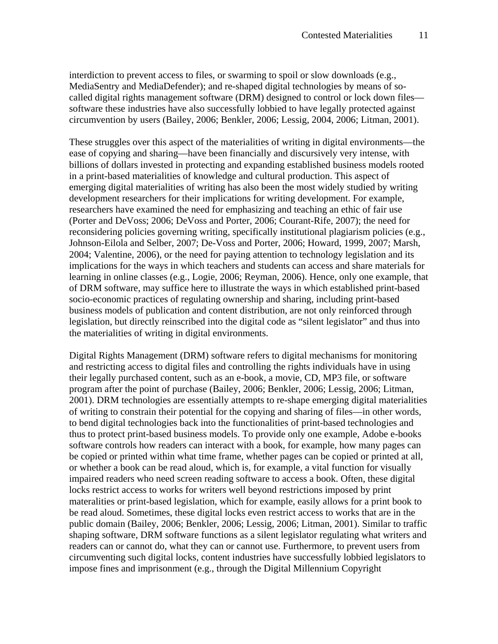interdiction to prevent access to files, or swarming to spoil or slow downloads (e.g., MediaSentry and MediaDefender); and re-shaped digital technologies by means of socalled digital rights management software (DRM) designed to control or lock down files software these industries have also successfully lobbied to have legally protected against circumvention by users (Bailey, 2006; Benkler, 2006; Lessig, 2004, 2006; Litman, 2001).

These struggles over this aspect of the materialities of writing in digital environments—the ease of copying and sharing—have been financially and discursively very intense, with billions of dollars invested in protecting and expanding established business models rooted in a print-based materialities of knowledge and cultural production. This aspect of emerging digital materialities of writing has also been the most widely studied by writing development researchers for their implications for writing development. For example, researchers have examined the need for emphasizing and teaching an ethic of fair use (Porter and DeVoss; 2006; DeVoss and Porter, 2006; Courant-Rife, 2007); the need for reconsidering policies governing writing, specifically institutional plagiarism policies (e.g., Johnson-Eilola and Selber, 2007; De-Voss and Porter, 2006; Howard, 1999, 2007; Marsh, 2004; Valentine, 2006), or the need for paying attention to technology legislation and its implications for the ways in which teachers and students can access and share materials for learning in online classes (e.g., Logie, 2006; Reyman, 2006). Hence, only one example, that of DRM software, may suffice here to illustrate the ways in which established print-based socio-economic practices of regulating ownership and sharing, including print-based business models of publication and content distribution, are not only reinforced through legislation, but directly reinscribed into the digital code as "silent legislator" and thus into the materialities of writing in digital environments.

Digital Rights Management (DRM) software refers to digital mechanisms for monitoring and restricting access to digital files and controlling the rights individuals have in using their legally purchased content, such as an e-book, a movie, CD, MP3 file, or software program after the point of purchase (Bailey, 2006; Benkler, 2006; Lessig, 2006; Litman, 2001). DRM technologies are essentially attempts to re-shape emerging digital materialities of writing to constrain their potential for the copying and sharing of files—in other words, to bend digital technologies back into the functionalities of print-based technologies and thus to protect print-based business models. To provide only one example, Adobe e-books software controls how readers can interact with a book, for example, how many pages can be copied or printed within what time frame, whether pages can be copied or printed at all, or whether a book can be read aloud, which is, for example, a vital function for visually impaired readers who need screen reading software to access a book. Often, these digital locks restrict access to works for writers well beyond restrictions imposed by print materalities or print-based legislation, which for example, easily allows for a print book to be read aloud. Sometimes, these digital locks even restrict access to works that are in the public domain (Bailey, 2006; Benkler, 2006; Lessig, 2006; Litman, 2001). Similar to traffic shaping software, DRM software functions as a silent legislator regulating what writers and readers can or cannot do, what they can or cannot use. Furthermore, to prevent users from circumventing such digital locks, content industries have successfully lobbied legislators to impose fines and imprisonment (e.g., through the Digital Millennium Copyright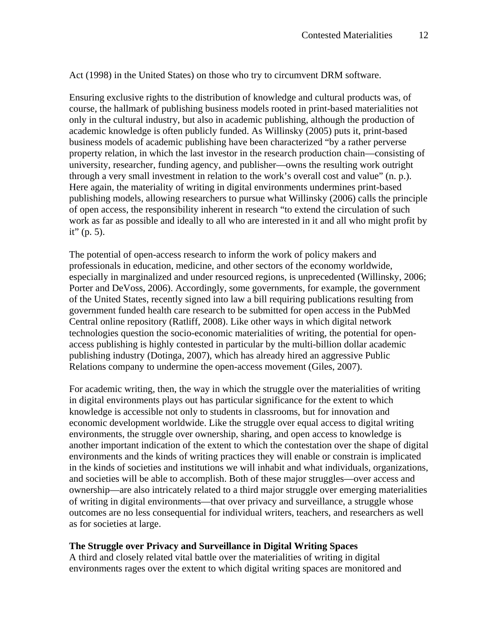Act (1998) in the United States) on those who try to circumvent DRM software.

Ensuring exclusive rights to the distribution of knowledge and cultural products was, of course, the hallmark of publishing business models rooted in print-based materialities not only in the cultural industry, but also in academic publishing, although the production of academic knowledge is often publicly funded. As Willinsky (2005) puts it, print-based business models of academic publishing have been characterized "by a rather perverse property relation, in which the last investor in the research production chain—consisting of university, researcher, funding agency, and publisher—owns the resulting work outright through a very small investment in relation to the work's overall cost and value" (n. p.). Here again, the materiality of writing in digital environments undermines print-based publishing models, allowing researchers to pursue what Willinsky (2006) calls the principle of open access, the responsibility inherent in research "to extend the circulation of such work as far as possible and ideally to all who are interested in it and all who might profit by it"  $(p. 5)$ .

The potential of open-access research to inform the work of policy makers and professionals in education, medicine, and other sectors of the economy worldwide, especially in marginalized and under resourced regions, is unprecedented (Willinsky, 2006; Porter and DeVoss, 2006). Accordingly, some governments, for example, the government of the United States, recently signed into law a bill requiring publications resulting from government funded health care research to be submitted for open access in the PubMed Central online repository (Ratliff, 2008). Like other ways in which digital network technologies question the socio-economic materialities of writing, the potential for openaccess publishing is highly contested in particular by the multi-billion dollar academic publishing industry (Dotinga, 2007), which has already hired an aggressive Public Relations company to undermine the open-access movement (Giles, 2007).

For academic writing, then, the way in which the struggle over the materialities of writing in digital environments plays out has particular significance for the extent to which knowledge is accessible not only to students in classrooms, but for innovation and economic development worldwide. Like the struggle over equal access to digital writing environments, the struggle over ownership, sharing, and open access to knowledge is another important indication of the extent to which the contestation over the shape of digital environments and the kinds of writing practices they will enable or constrain is implicated in the kinds of societies and institutions we will inhabit and what individuals, organizations, and societies will be able to accomplish. Both of these major struggles—over access and ownership—are also intricately related to a third major struggle over emerging materialities of writing in digital environments—that over privacy and surveillance, a struggle whose outcomes are no less consequential for individual writers, teachers, and researchers as well as for societies at large.

## **The Struggle over Privacy and Surveillance in Digital Writing Spaces**

A third and closely related vital battle over the materialities of writing in digital environments rages over the extent to which digital writing spaces are monitored and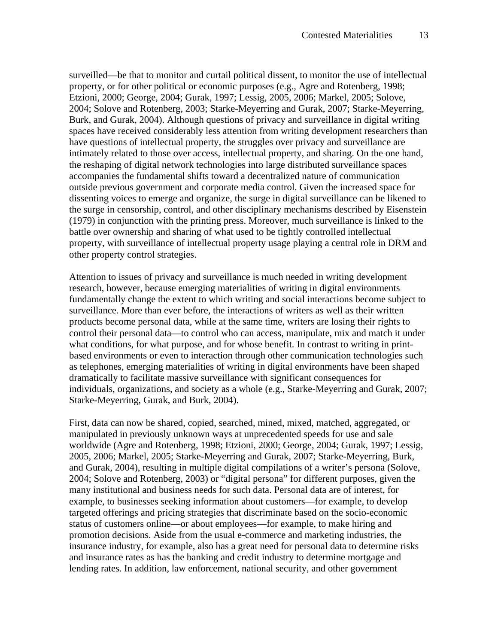surveilled—be that to monitor and curtail political dissent, to monitor the use of intellectual property, or for other political or economic purposes (e.g., Agre and Rotenberg, 1998; Etzioni, 2000; George, 2004; Gurak, 1997; Lessig, 2005, 2006; Markel, 2005; Solove, 2004; Solove and Rotenberg, 2003; Starke-Meyerring and Gurak, 2007; Starke-Meyerring, Burk, and Gurak, 2004). Although questions of privacy and surveillance in digital writing spaces have received considerably less attention from writing development researchers than have questions of intellectual property, the struggles over privacy and surveillance are intimately related to those over access, intellectual property, and sharing. On the one hand, the reshaping of digital network technologies into large distributed surveillance spaces accompanies the fundamental shifts toward a decentralized nature of communication outside previous government and corporate media control. Given the increased space for dissenting voices to emerge and organize, the surge in digital surveillance can be likened to the surge in censorship, control, and other disciplinary mechanisms described by Eisenstein (1979) in conjunction with the printing press. Moreover, much surveillance is linked to the battle over ownership and sharing of what used to be tightly controlled intellectual property, with surveillance of intellectual property usage playing a central role in DRM and other property control strategies.

Attention to issues of privacy and surveillance is much needed in writing development research, however, because emerging materialities of writing in digital environments fundamentally change the extent to which writing and social interactions become subject to surveillance. More than ever before, the interactions of writers as well as their written products become personal data, while at the same time, writers are losing their rights to control their personal data—to control who can access, manipulate, mix and match it under what conditions, for what purpose, and for whose benefit. In contrast to writing in printbased environments or even to interaction through other communication technologies such as telephones, emerging materialities of writing in digital environments have been shaped dramatically to facilitate massive surveillance with significant consequences for individuals, organizations, and society as a whole (e.g., Starke-Meyerring and Gurak, 2007; Starke-Meyerring, Gurak, and Burk, 2004).

First, data can now be shared, copied, searched, mined, mixed, matched, aggregated, or manipulated in previously unknown ways at unprecedented speeds for use and sale worldwide (Agre and Rotenberg, 1998; Etzioni, 2000; George, 2004; Gurak, 1997; Lessig, 2005, 2006; Markel, 2005; Starke-Meyerring and Gurak, 2007; Starke-Meyerring, Burk, and Gurak, 2004), resulting in multiple digital compilations of a writer's persona (Solove, 2004; Solove and Rotenberg, 2003) or "digital persona" for different purposes, given the many institutional and business needs for such data. Personal data are of interest, for example, to businesses seeking information about customers—for example, to develop targeted offerings and pricing strategies that discriminate based on the socio-economic status of customers online—or about employees—for example, to make hiring and promotion decisions. Aside from the usual e-commerce and marketing industries, the insurance industry, for example, also has a great need for personal data to determine risks and insurance rates as has the banking and credit industry to determine mortgage and lending rates. In addition, law enforcement, national security, and other government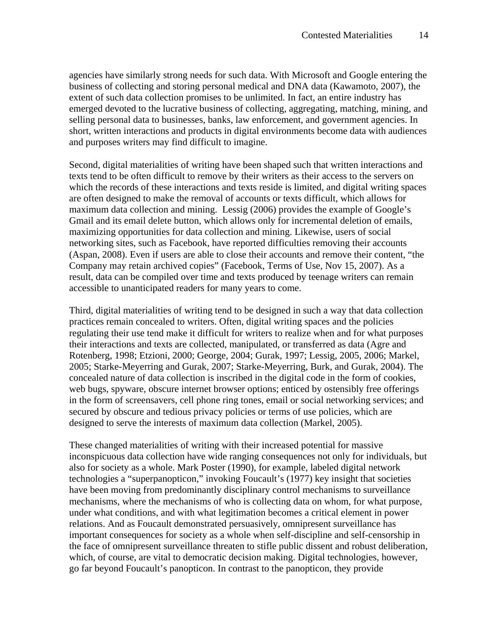agencies have similarly strong needs for such data. With Microsoft and Google entering the business of collecting and storing personal medical and DNA data (Kawamoto, 2007), the extent of such data collection promises to be unlimited. In fact, an entire industry has emerged devoted to the lucrative business of collecting, aggregating, matching, mining, and selling personal data to businesses, banks, law enforcement, and government agencies. In short, written interactions and products in digital environments become data with audiences and purposes writers may find difficult to imagine.

Second, digital materialities of writing have been shaped such that written interactions and texts tend to be often difficult to remove by their writers as their access to the servers on which the records of these interactions and texts reside is limited, and digital writing spaces are often designed to make the removal of accounts or texts difficult, which allows for maximum data collection and mining. Lessig (2006) provides the example of Google's Gmail and its email delete button, which allows only for incremental deletion of emails, maximizing opportunities for data collection and mining. Likewise, users of social networking sites, such as Facebook, have reported difficulties removing their accounts (Aspan, 2008). Even if users are able to close their accounts and remove their content, "the Company may retain archived copies" (Facebook, Terms of Use, Nov 15, 2007). As a result, data can be compiled over time and texts produced by teenage writers can remain accessible to unanticipated readers for many years to come.

Third, digital materialities of writing tend to be designed in such a way that data collection practices remain concealed to writers. Often, digital writing spaces and the policies regulating their use tend make it difficult for writers to realize when and for what purposes their interactions and texts are collected, manipulated, or transferred as data (Agre and Rotenberg, 1998; Etzioni, 2000; George, 2004; Gurak, 1997; Lessig, 2005, 2006; Markel, 2005; Starke-Meyerring and Gurak, 2007; Starke-Meyerring, Burk, and Gurak, 2004). The concealed nature of data collection is inscribed in the digital code in the form of cookies, web bugs, spyware, obscure internet browser options; enticed by ostensibly free offerings in the form of screensavers, cell phone ring tones, email or social networking services; and secured by obscure and tedious privacy policies or terms of use policies, which are designed to serve the interests of maximum data collection (Markel, 2005).

These changed materialities of writing with their increased potential for massive inconspicuous data collection have wide ranging consequences not only for individuals, but also for society as a whole. Mark Poster (1990), for example, labeled digital network technologies a "superpanopticon," invoking Foucault's (1977) key insight that societies have been moving from predominantly disciplinary control mechanisms to surveillance mechanisms, where the mechanisms of who is collecting data on whom, for what purpose, under what conditions, and with what legitimation becomes a critical element in power relations. And as Foucault demonstrated persuasively, omnipresent surveillance has important consequences for society as a whole when self-discipline and self-censorship in the face of omnipresent surveillance threaten to stifle public dissent and robust deliberation, which, of course, are vital to democratic decision making. Digital technologies, however, go far beyond Foucault's panopticon. In contrast to the panopticon, they provide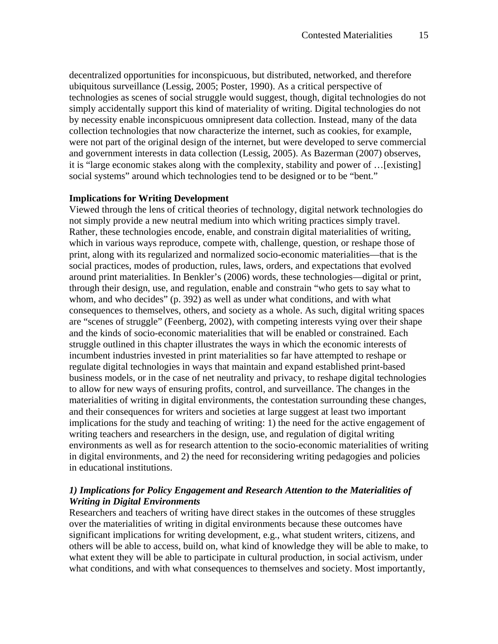decentralized opportunities for inconspicuous, but distributed, networked, and therefore ubiquitous surveillance (Lessig, 2005; Poster, 1990). As a critical perspective of technologies as scenes of social struggle would suggest, though, digital technologies do not simply accidentally support this kind of materiality of writing. Digital technologies do not by necessity enable inconspicuous omnipresent data collection. Instead, many of the data collection technologies that now characterize the internet, such as cookies, for example, were not part of the original design of the internet, but were developed to serve commercial and government interests in data collection (Lessig, 2005). As Bazerman (2007) observes, it is "large economic stakes along with the complexity, stability and power of …[existing] social systems" around which technologies tend to be designed or to be "bent."

#### **Implications for Writing Development**

Viewed through the lens of critical theories of technology, digital network technologies do not simply provide a new neutral medium into which writing practices simply travel. Rather, these technologies encode, enable, and constrain digital materialities of writing, which in various ways reproduce, compete with, challenge, question, or reshape those of print, along with its regularized and normalized socio-economic materialities—that is the social practices, modes of production, rules, laws, orders, and expectations that evolved around print materialities. In Benkler's (2006) words, these technologies—digital or print, through their design, use, and regulation, enable and constrain "who gets to say what to whom, and who decides" (p. 392) as well as under what conditions, and with what consequences to themselves, others, and society as a whole. As such, digital writing spaces are "scenes of struggle" (Feenberg, 2002), with competing interests vying over their shape and the kinds of socio-economic materialities that will be enabled or constrained. Each struggle outlined in this chapter illustrates the ways in which the economic interests of incumbent industries invested in print materialities so far have attempted to reshape or regulate digital technologies in ways that maintain and expand established print-based business models, or in the case of net neutrality and privacy, to reshape digital technologies to allow for new ways of ensuring profits, control, and surveillance. The changes in the materialities of writing in digital environments, the contestation surrounding these changes, and their consequences for writers and societies at large suggest at least two important implications for the study and teaching of writing: 1) the need for the active engagement of writing teachers and researchers in the design, use, and regulation of digital writing environments as well as for research attention to the socio-economic materialities of writing in digital environments, and 2) the need for reconsidering writing pedagogies and policies in educational institutions.

### *1) Implications for Policy Engagement and Research Attention to the Materialities of Writing in Digital Environments*

Researchers and teachers of writing have direct stakes in the outcomes of these struggles over the materialities of writing in digital environments because these outcomes have significant implications for writing development, e.g., what student writers, citizens, and others will be able to access, build on, what kind of knowledge they will be able to make, to what extent they will be able to participate in cultural production, in social activism, under what conditions, and with what consequences to themselves and society. Most importantly,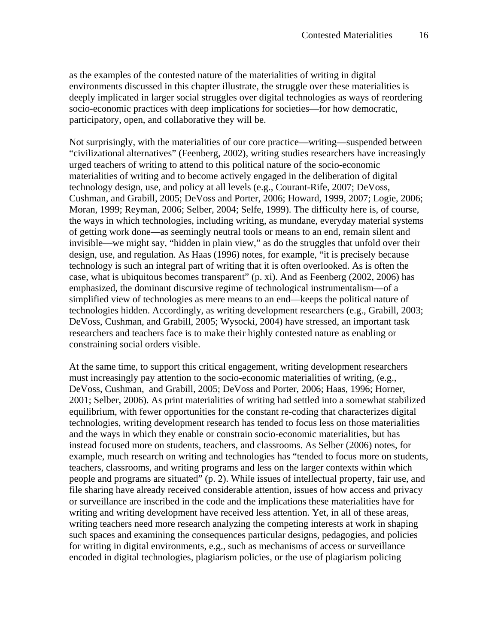as the examples of the contested nature of the materialities of writing in digital environments discussed in this chapter illustrate, the struggle over these materialities is deeply implicated in larger social struggles over digital technologies as ways of reordering socio-economic practices with deep implications for societies—for how democratic, participatory, open, and collaborative they will be.

Not surprisingly, with the materialities of our core practice—writing—suspended between "civilizational alternatives" (Feenberg, 2002), writing studies researchers have increasingly urged teachers of writing to attend to this political nature of the socio-economic materialities of writing and to become actively engaged in the deliberation of digital technology design, use, and policy at all levels (e.g., Courant-Rife, 2007; DeVoss, Cushman, and Grabill, 2005; DeVoss and Porter, 2006; Howard, 1999, 2007; Logie, 2006; Moran, 1999; Reyman, 2006; Selber, 2004; Selfe, 1999). The difficulty here is, of course, the ways in which technologies, including writing, as mundane, everyday material systems of getting work done—as seemingly neutral tools or means to an end, remain silent and invisible—we might say, "hidden in plain view," as do the struggles that unfold over their design, use, and regulation. As Haas (1996) notes, for example, "it is precisely because technology is such an integral part of writing that it is often overlooked. As is often the case, what is ubiquitous becomes transparent" (p. xi). And as Feenberg (2002, 2006) has emphasized, the dominant discursive regime of technological instrumentalism—of a simplified view of technologies as mere means to an end—keeps the political nature of technologies hidden. Accordingly, as writing development researchers (e.g., Grabill, 2003; DeVoss, Cushman, and Grabill, 2005; Wysocki, 2004) have stressed, an important task researchers and teachers face is to make their highly contested nature as enabling or constraining social orders visible.

At the same time, to support this critical engagement, writing development researchers must increasingly pay attention to the socio-economic materialities of writing, (e.g., DeVoss, Cushman, and Grabill, 2005; DeVoss and Porter, 2006; Haas, 1996; Horner, 2001; Selber, 2006). As print materialities of writing had settled into a somewhat stabilized equilibrium, with fewer opportunities for the constant re-coding that characterizes digital technologies, writing development research has tended to focus less on those materialities and the ways in which they enable or constrain socio-economic materialities, but has instead focused more on students, teachers, and classrooms. As Selber (2006) notes, for example, much research on writing and technologies has "tended to focus more on students, teachers, classrooms, and writing programs and less on the larger contexts within which people and programs are situated" (p. 2). While issues of intellectual property, fair use, and file sharing have already received considerable attention, issues of how access and privacy or surveillance are inscribed in the code and the implications these materialities have for writing and writing development have received less attention. Yet, in all of these areas, writing teachers need more research analyzing the competing interests at work in shaping such spaces and examining the consequences particular designs, pedagogies, and policies for writing in digital environments, e.g., such as mechanisms of access or surveillance encoded in digital technologies, plagiarism policies, or the use of plagiarism policing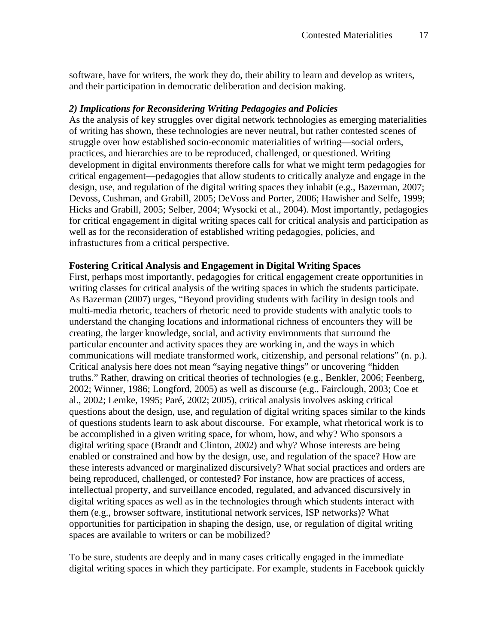software, have for writers, the work they do, their ability to learn and develop as writers, and their participation in democratic deliberation and decision making.

### *2) Implications for Reconsidering Writing Pedagogies and Policies*

As the analysis of key struggles over digital network technologies as emerging materialities of writing has shown, these technologies are never neutral, but rather contested scenes of struggle over how established socio-economic materialities of writing—social orders, practices, and hierarchies are to be reproduced, challenged, or questioned. Writing development in digital environments therefore calls for what we might term pedagogies for critical engagement—pedagogies that allow students to critically analyze and engage in the design, use, and regulation of the digital writing spaces they inhabit (e.g., Bazerman, 2007; Devoss, Cushman, and Grabill, 2005; DeVoss and Porter, 2006; Hawisher and Selfe, 1999; Hicks and Grabill, 2005; Selber, 2004; Wysocki et al., 2004). Most importantly, pedagogies for critical engagement in digital writing spaces call for critical analysis and participation as well as for the reconsideration of established writing pedagogies, policies, and infrastuctures from a critical perspective.

#### **Fostering Critical Analysis and Engagement in Digital Writing Spaces**

First, perhaps most importantly, pedagogies for critical engagement create opportunities in writing classes for critical analysis of the writing spaces in which the students participate. As Bazerman (2007) urges, "Beyond providing students with facility in design tools and multi-media rhetoric, teachers of rhetoric need to provide students with analytic tools to understand the changing locations and informational richness of encounters they will be creating, the larger knowledge, social, and activity environments that surround the particular encounter and activity spaces they are working in, and the ways in which communications will mediate transformed work, citizenship, and personal relations" (n. p.). Critical analysis here does not mean "saying negative things" or uncovering "hidden truths." Rather, drawing on critical theories of technologies (e.g., Benkler, 2006; Feenberg, 2002; Winner, 1986; Longford, 2005) as well as discourse (e.g., Fairclough, 2003; Coe et al., 2002; Lemke, 1995; Paré, 2002; 2005), critical analysis involves asking critical questions about the design, use, and regulation of digital writing spaces similar to the kinds of questions students learn to ask about discourse. For example, what rhetorical work is to be accomplished in a given writing space, for whom, how, and why? Who sponsors a digital writing space (Brandt and Clinton, 2002) and why? Whose interests are being enabled or constrained and how by the design, use, and regulation of the space? How are these interests advanced or marginalized discursively? What social practices and orders are being reproduced, challenged, or contested? For instance, how are practices of access, intellectual property, and surveillance encoded, regulated, and advanced discursively in digital writing spaces as well as in the technologies through which students interact with them (e.g., browser software, institutional network services, ISP networks)? What opportunities for participation in shaping the design, use, or regulation of digital writing spaces are available to writers or can be mobilized?

To be sure, students are deeply and in many cases critically engaged in the immediate digital writing spaces in which they participate. For example, students in Facebook quickly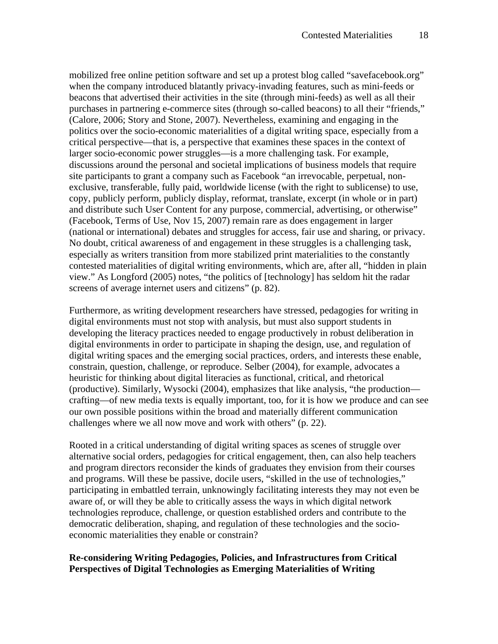mobilized free online petition software and set up a protest blog called "savefacebook.org" when the company introduced blatantly privacy-invading features, such as mini-feeds or beacons that advertised their activities in the site (through mini-feeds) as well as all their purchases in partnering e-commerce sites (through so-called beacons) to all their "friends," (Calore, 2006; Story and Stone, 2007). Nevertheless, examining and engaging in the politics over the socio-economic materialities of a digital writing space, especially from a critical perspective—that is, a perspective that examines these spaces in the context of larger socio-economic power struggles—is a more challenging task. For example, discussions around the personal and societal implications of business models that require site participants to grant a company such as Facebook "an irrevocable, perpetual, nonexclusive, transferable, fully paid, worldwide license (with the right to sublicense) to use, copy, publicly perform, publicly display, reformat, translate, excerpt (in whole or in part) and distribute such User Content for any purpose, commercial, advertising, or otherwise" (Facebook, Terms of Use, Nov 15, 2007) remain rare as does engagement in larger (national or international) debates and struggles for access, fair use and sharing, or privacy. No doubt, critical awareness of and engagement in these struggles is a challenging task, especially as writers transition from more stabilized print materialities to the constantly contested materialities of digital writing environments, which are, after all, "hidden in plain view." As Longford (2005) notes, "the politics of [technology] has seldom hit the radar screens of average internet users and citizens" (p. 82).

Furthermore, as writing development researchers have stressed, pedagogies for writing in digital environments must not stop with analysis, but must also support students in developing the literacy practices needed to engage productively in robust deliberation in digital environments in order to participate in shaping the design, use, and regulation of digital writing spaces and the emerging social practices, orders, and interests these enable, constrain, question, challenge, or reproduce. Selber (2004), for example, advocates a heuristic for thinking about digital literacies as functional, critical, and rhetorical (productive). Similarly, Wysocki (2004), emphasizes that like analysis, "the production crafting—of new media texts is equally important, too, for it is how we produce and can see our own possible positions within the broad and materially different communication challenges where we all now move and work with others" (p. 22).

Rooted in a critical understanding of digital writing spaces as scenes of struggle over alternative social orders, pedagogies for critical engagement, then, can also help teachers and program directors reconsider the kinds of graduates they envision from their courses and programs. Will these be passive, docile users, "skilled in the use of technologies," participating in embattled terrain, unknowingly facilitating interests they may not even be aware of, or will they be able to critically assess the ways in which digital network technologies reproduce, challenge, or question established orders and contribute to the democratic deliberation, shaping, and regulation of these technologies and the socioeconomic materialities they enable or constrain?

## **Re-considering Writing Pedagogies, Policies, and Infrastructures from Critical Perspectives of Digital Technologies as Emerging Materialities of Writing**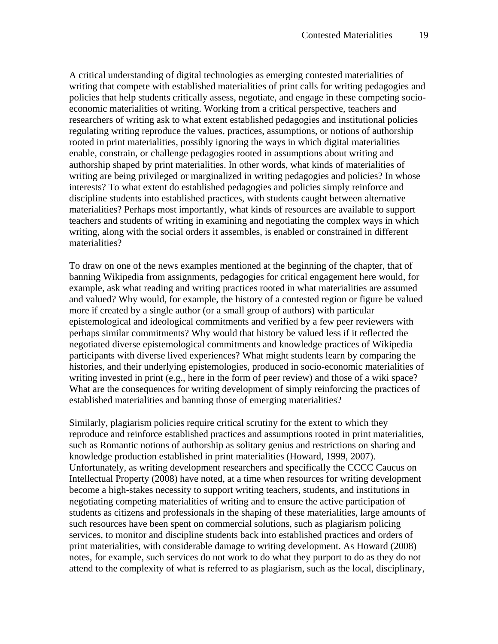A critical understanding of digital technologies as emerging contested materialities of writing that compete with established materialities of print calls for writing pedagogies and policies that help students critically assess, negotiate, and engage in these competing socioeconomic materialities of writing. Working from a critical perspective, teachers and researchers of writing ask to what extent established pedagogies and institutional policies regulating writing reproduce the values, practices, assumptions, or notions of authorship rooted in print materialities, possibly ignoring the ways in which digital materialities enable, constrain, or challenge pedagogies rooted in assumptions about writing and authorship shaped by print materialities. In other words, what kinds of materialities of writing are being privileged or marginalized in writing pedagogies and policies? In whose interests? To what extent do established pedagogies and policies simply reinforce and discipline students into established practices, with students caught between alternative materialities? Perhaps most importantly, what kinds of resources are available to support teachers and students of writing in examining and negotiating the complex ways in which writing, along with the social orders it assembles, is enabled or constrained in different materialities?

To draw on one of the news examples mentioned at the beginning of the chapter, that of banning Wikipedia from assignments, pedagogies for critical engagement here would, for example, ask what reading and writing practices rooted in what materialities are assumed and valued? Why would, for example, the history of a contested region or figure be valued more if created by a single author (or a small group of authors) with particular epistemological and ideological commitments and verified by a few peer reviewers with perhaps similar commitments? Why would that history be valued less if it reflected the negotiated diverse epistemological commitments and knowledge practices of Wikipedia participants with diverse lived experiences? What might students learn by comparing the histories, and their underlying epistemologies, produced in socio-economic materialities of writing invested in print (e.g., here in the form of peer review) and those of a wiki space? What are the consequences for writing development of simply reinforcing the practices of established materialities and banning those of emerging materialities?

Similarly, plagiarism policies require critical scrutiny for the extent to which they reproduce and reinforce established practices and assumptions rooted in print materialities, such as Romantic notions of authorship as solitary genius and restrictions on sharing and knowledge production established in print materialities (Howard, 1999, 2007). Unfortunately, as writing development researchers and specifically the CCCC Caucus on Intellectual Property (2008) have noted, at a time when resources for writing development become a high-stakes necessity to support writing teachers, students, and institutions in negotiating competing materialities of writing and to ensure the active participation of students as citizens and professionals in the shaping of these materialities, large amounts of such resources have been spent on commercial solutions, such as plagiarism policing services, to monitor and discipline students back into established practices and orders of print materialities, with considerable damage to writing development. As Howard (2008) notes, for example, such services do not work to do what they purport to do as they do not attend to the complexity of what is referred to as plagiarism, such as the local, disciplinary,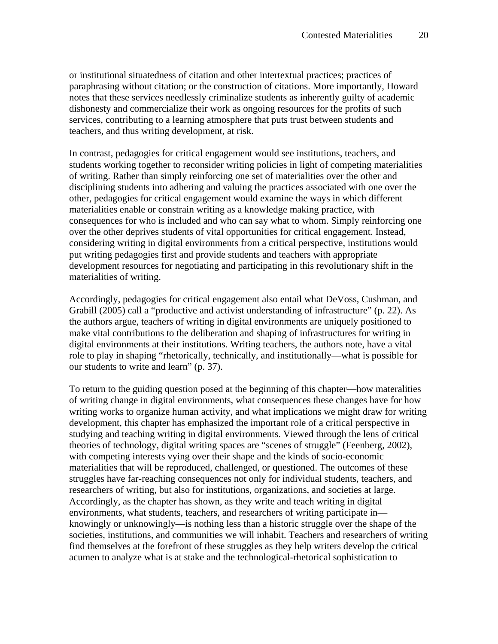or institutional situatedness of citation and other intertextual practices; practices of paraphrasing without citation; or the construction of citations. More importantly, Howard notes that these services needlessly criminalize students as inherently guilty of academic dishonesty and commercialize their work as ongoing resources for the profits of such services, contributing to a learning atmosphere that puts trust between students and teachers, and thus writing development, at risk.

In contrast, pedagogies for critical engagement would see institutions, teachers, and students working together to reconsider writing policies in light of competing materialities of writing. Rather than simply reinforcing one set of materialities over the other and disciplining students into adhering and valuing the practices associated with one over the other, pedagogies for critical engagement would examine the ways in which different materialities enable or constrain writing as a knowledge making practice, with consequences for who is included and who can say what to whom. Simply reinforcing one over the other deprives students of vital opportunities for critical engagement. Instead, considering writing in digital environments from a critical perspective, institutions would put writing pedagogies first and provide students and teachers with appropriate development resources for negotiating and participating in this revolutionary shift in the materialities of writing.

Accordingly, pedagogies for critical engagement also entail what DeVoss, Cushman, and Grabill (2005) call a "productive and activist understanding of infrastructure" (p. 22). As the authors argue, teachers of writing in digital environments are uniquely positioned to make vital contributions to the deliberation and shaping of infrastructures for writing in digital environments at their institutions. Writing teachers, the authors note, have a vital role to play in shaping "rhetorically, technically, and institutionally—what is possible for our students to write and learn" (p. 37).

To return to the guiding question posed at the beginning of this chapter—how materalities of writing change in digital environments, what consequences these changes have for how writing works to organize human activity, and what implications we might draw for writing development, this chapter has emphasized the important role of a critical perspective in studying and teaching writing in digital environments. Viewed through the lens of critical theories of technology, digital writing spaces are "scenes of struggle" (Feenberg, 2002), with competing interests vying over their shape and the kinds of socio-economic materialities that will be reproduced, challenged, or questioned. The outcomes of these struggles have far-reaching consequences not only for individual students, teachers, and researchers of writing, but also for institutions, organizations, and societies at large. Accordingly, as the chapter has shown, as they write and teach writing in digital environments, what students, teachers, and researchers of writing participate in knowingly or unknowingly—is nothing less than a historic struggle over the shape of the societies, institutions, and communities we will inhabit. Teachers and researchers of writing find themselves at the forefront of these struggles as they help writers develop the critical acumen to analyze what is at stake and the technological-rhetorical sophistication to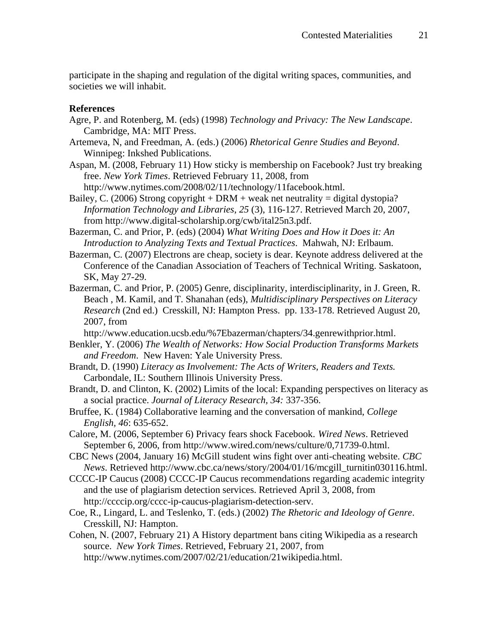participate in the shaping and regulation of the digital writing spaces, communities, and societies we will inhabit.

### **References**

- Agre, P. and Rotenberg, M. (eds) (1998) *Technology and Privacy: The New Landscape*. Cambridge, MA: MIT Press.
- Artemeva, N, and Freedman, A. (eds.) (2006) *Rhetorical Genre Studies and Beyond*. Winnipeg: Inkshed Publications.
- Aspan, M. (2008, February 11) How sticky is membership on Facebook? Just try breaking free. *New York Times*. Retrieved February 11, 2008, from http://www.nytimes.com/2008/02/11/technology/11facebook.html.

Bailey, C. (2006) Strong copyright  $+$  DRM  $+$  weak net neutrality  $=$  digital dystopia? *Information Technology and Libraries*, *25* (3), 116-127. Retrieved March 20, 2007, from http://www.digital-scholarship.org/cwb/ital25n3.pdf.

- Bazerman, C. and Prior, P. (eds) (2004) *What Writing Does and How it Does it: An Introduction to Analyzing Texts and Textual Practices*. Mahwah, NJ: Erlbaum.
- Bazerman, C. (2007) Electrons are cheap, society is dear. Keynote address delivered at the Conference of the Canadian Association of Teachers of Technical Writing. Saskatoon, SK, May 27-29.
- Bazerman, C. and Prior, P. (2005) Genre, disciplinarity, interdisciplinarity, in J. Green, R. Beach , M. Kamil, and T. Shanahan (eds), *Multidisciplinary Perspectives on Literacy Research* (2nd ed.) Cresskill, NJ: Hampton Press. pp. 133-178. Retrieved August 20, 2007, from

http://www.education.ucsb.edu/%7Ebazerman/chapters/34.genrewithprior.html.

- Benkler, Y. (2006) *The Wealth of Networks: How Social Production Transforms Markets and Freedom*. New Haven: Yale University Press.
- Brandt, D. (1990) *Literacy as Involvement: The Acts of Writers, Readers and Texts.* Carbondale, IL: Southern Illinois University Press.
- Brandt, D. and Clinton, K. (2002) Limits of the local: Expanding perspectives on literacy as a social practice. *Journal of Literacy Research, 34:* 337-356.
- Bruffee, K. (1984) Collaborative learning and the conversation of mankind, *College English, 46*: 635-652.
- Calore, M. (2006, September 6) Privacy fears shock Facebook. *Wired News*. Retrieved September 6, 2006, from http://www.wired.com/news/culture/0,71739-0.html.
- [CBC News](http://www.cbc.ca/news/credit.html) (2004, January 16) McGill student wins fight over anti-cheating website. *CBC News*. Retrieved http://www.cbc.ca/news/story/2004/01/16/mcgill\_turnitin030116.html.
- CCCC-IP Caucus (2008) CCCC-IP Caucus recommendations regarding academic integrity and the use of plagiarism detection services. Retrieved April 3, 2008, from http://ccccip.org/cccc-ip-caucus-plagiarism-detection-serv.
- Coe, R., Lingard, L. and Teslenko, T. (eds.) (2002) *The Rhetoric and Ideology of Genre*. Cresskill, NJ: Hampton.
- Cohen, N. (2007, February 21) A History department bans citing Wikipedia as a research source. *New York Times*. Retrieved, February 21, 2007, from http://www.nytimes.com/2007/02/21/education/21wikipedia.html.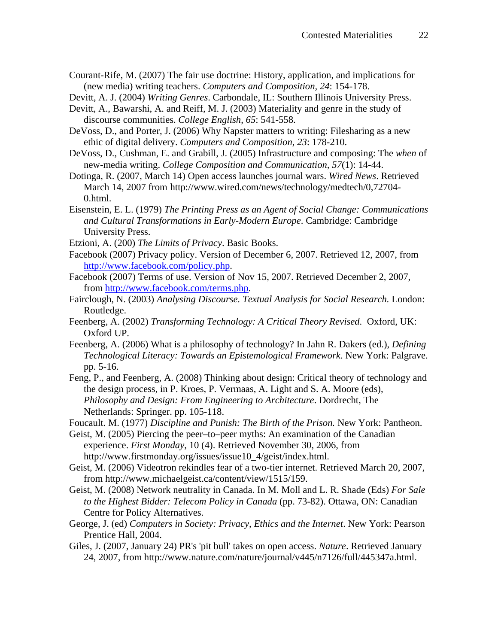- Courant-Rife, M. (2007) The fair use doctrine: History, application, and implications for (new media) writing teachers. *Computers and Composition, 24*: 154-178.
- Devitt, A. J. (2004) *Writing Genres*. Carbondale, IL: Southern Illinois University Press.
- Devitt, A., Bawarshi, A. and Reiff, M. J. (2003) Materiality and genre in the study of discourse communities. *College English*, *65*: 541-558.
- DeVoss, D., and Porter, J. (2006) Why Napster matters to writing: Filesharing as a new ethic of digital delivery. *Computers and Composition*, *23*: 178-210.
- DeVoss, D., Cushman, E. and Grabill, J. (2005) Infrastructure and composing: The *when* of new-media writing. *College Composition and Communication, 57*(1): 14-44.
- Dotinga, R. (2007, March 14) Open access launches journal wars. *Wired News*. Retrieved March 14, 2007 from [http://www.wired.com/news/technology/medtech/0,72704-](http://www.wired.com/news/technology/medtech/0,72704-0.html) [0.html](http://www.wired.com/news/technology/medtech/0,72704-0.html).
- Eisenstein, E. L. (1979) *The Printing Press as an Agent of Social Change: Communications and Cultural Transformations in Early-Modern Europe*. Cambridge: Cambridge University Press.
- Etzioni, A. (200) *The Limits of Privacy*. Basic Books.
- Facebook (2007) Privacy policy. Version of December 6, 2007. Retrieved 12, 2007, from [http://www.facebook.com/policy.php.](http://www.facebook.com/policy.php)
- Facebook (2007) Terms of use. Version of Nov 15, 2007. Retrieved December 2, 2007, from [http://www.facebook.com/terms.php.](http://www.facebook.com/terms.php)
- Fairclough, N. (2003) *Analysing Discourse. Textual Analysis for Social Research.* London: Routledge.
- Feenberg, A. (2002) *Transforming Technology: A Critical Theory Revised*. Oxford, UK: Oxford UP.
- Feenberg, A. (2006) What is a philosophy of technology? In Jahn R. Dakers (ed.), *Defining Technological Literacy: Towards an Epistemological Framework*. New York: Palgrave. pp. 5-16.
- Feng, P., and Feenberg, A. (2008) Thinking about design: Critical theory of technology and the design process, in P. Kroes, P. Vermaas, A. Light and S. A. Moore (eds), *Philosophy and Design: From Engineering to Architecture*. Dordrecht, The Netherlands: Springer. pp. 105-118.
- Foucault. M. (1977) *Discipline and Punish: The Birth of the Prison.* New York: Pantheon.
- Geist, M. (2005) Piercing the peer–to–peer myths: An examination of the Canadian experience. *First Monday*, 10 (4). Retrieved November 30, 2006, from http://www.firstmonday.org/issues/issue10\_4/geist/index.html.
- Geist, M. (2006) Videotron rekindles fear of a two-tier internet. Retrieved March 20, 2007, from http://www.michaelgeist.ca/content/view/1515/159.
- Geist, M. (2008) Network neutrality in Canada. In M. Moll and L. R. Shade (Eds) *For Sale to the Highest Bidder: Telecom Policy in Canada* (pp. 73-82). Ottawa, ON: Canadian Centre for Policy Alternatives.
- George, J. (ed) *Computers in Society: Privacy, Ethics and the Internet*. New York: Pearson Prentice Hall, 2004.
- Giles, J. (2007, January 24) PR's 'pit bull' takes on open access. *Nature*. Retrieved January 24, 2007, from http://www.nature.com/nature/journal/v445/n7126/full/445347a.html.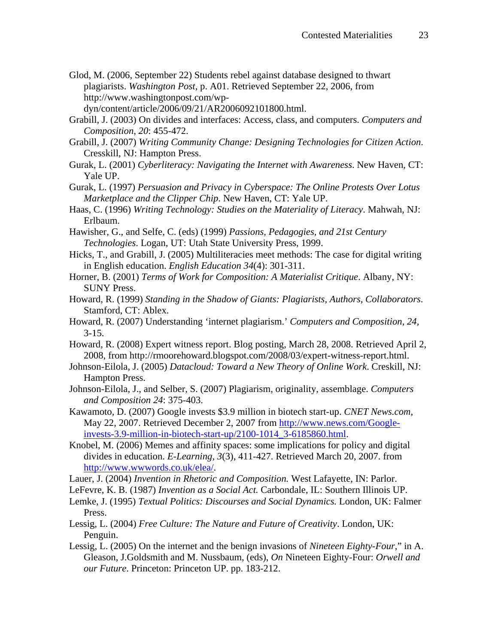Glod, M. (2006, September 22) Students rebel against database designed to thwart plagiarists. *Washington Post,* p. A01. Retrieved September 22, 2006, from [http://www.washingtonpost.com/wp-](http://www.washingtonpost.com/wp-dyn/content/article/2006/09/21/AR2006092101800.html)

[dyn/content/article/2006/09/21/AR2006092101800.html](http://www.washingtonpost.com/wp-dyn/content/article/2006/09/21/AR2006092101800.html).

- Grabill, J. (2003) On divides and interfaces: Access, class, and computers. *Computers and Composition*, *20*: 455-472.
- Grabill, J. (2007) *Writing Community Change: Designing Technologies for Citizen Action*. Cresskill, NJ: Hampton Press.
- Gurak, L. (2001) *Cyberliteracy: Navigating the Internet with Awareness*. New Haven, CT: Yale UP.
- Gurak, L. (1997) *Persuasion and Privacy in Cyberspace: The Online Protests Over Lotus Marketplace and the Clipper Chip*. New Haven, CT: Yale UP.
- Haas, C. (1996) *Writing Technology: Studies on the Materiality of Literacy*. Mahwah, NJ: Erlbaum.
- Hawisher, G., and Selfe, C. (eds) (1999) *Passions, Pedagogies, and 21st Century Technologies*. Logan, UT: Utah State University Press, 1999.
- Hicks, T., and Grabill, J. (2005) Multiliteracies meet methods: The case for digital writing in English education. *English Education 34*(4): 301-311.
- Horner, B. (2001) *Terms of Work for Composition: A Materialist Critique*. Albany, NY: SUNY Press.
- Howard, R. (1999) *Standing in the Shadow of Giants: Plagiarists, Authors, Collaborators*. Stamford, CT: Ablex.
- Howard, R. (2007) Understanding 'internet plagiarism.' *Computers and Composition, 24,* 3-15.
- Howard, R. (2008) Expert witness report. Blog posting, March 28, 2008. Retrieved April 2, 2008, from http://rmoorehoward.blogspot.com/2008/03/expert-witness-report.html.
- Johnson-Eilola, J. (2005) *Datacloud: Toward a New Theory of Online Work*. Creskill, NJ: Hampton Press.
- Johnson-Eilola, J., and Selber, S. (2007) Plagiarism, originality, assemblage. *Computers and Composition 24*: 375-403.
- Kawamoto, D. (2007) Google invests \$3.9 million in biotech start-up. *CNET News.com*, May 22, 2007. Retrieved December 2, 2007 from [http://www.news.com/Google](http://www.news.com/Google-invests-3.9-million-in-biotech-start-up/2100-1014_3-6185860.html)[invests-3.9-million-in-biotech-start-up/2100-1014\\_3-6185860.html.](http://www.news.com/Google-invests-3.9-million-in-biotech-start-up/2100-1014_3-6185860.html)
- Knobel, M. (2006) Memes and affinity spaces: some implications for policy and digital divides in education. *E-Learning, 3*(3), 411-427. Retrieved March 20, 2007. from [http://www.wwwords.co.uk/elea/.](http://www.wwwords.co.uk/elea/)
- Lauer, J. (2004) *Invention in Rhetoric and Composition.* West Lafayette, IN: Parlor.
- LeFevre, K. B. (1987) *Invention as a Social Act.* Carbondale, IL: Southern Illinois UP.
- Lemke, J. (1995) *Textual Politics: Discourses and Social Dynamics.* London, UK: Falmer Press.
- Lessig, L. (2004) *Free Culture: The Nature and Future of Creativity*. London, UK: Penguin.
- Lessig, L. (2005) On the internet and the benign invasions of *Nineteen Eighty-Four*," in A. Gleason, J.Goldsmith and M. Nussbaum, (eds), *On* Nineteen Eighty-Four: *Orwell and our Future*. Princeton: Princeton UP. pp. 183-212.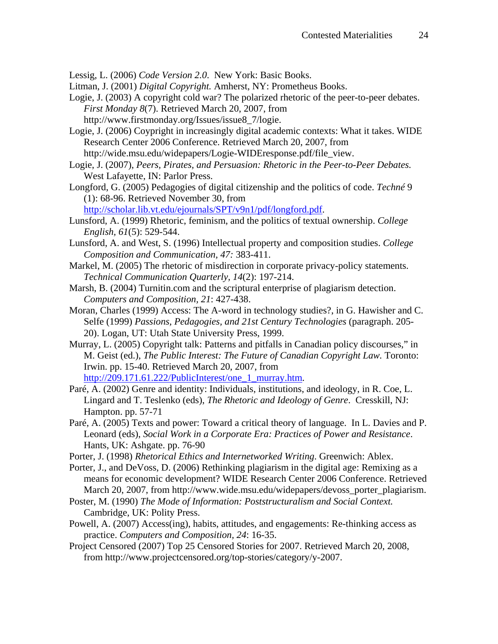Lessig, L. (2006) *Code Version 2.0*. New York: Basic Books.

Litman, J. (2001) *Digital Copyright.* Amherst, NY: Prometheus Books.

Logie, J. (2003) A copyright cold war? The polarized rhetoric of the peer-to-peer debates. *First Monday 8*(7). Retrieved March 20, 2007, from http://www.firstmonday.org/Issues/issue8\_7/logie.

Logie, J. (2006) Coypright in increasingly digital academic contexts: What it takes. WIDE Research Center 2006 Conference. Retrieved March 20, 2007, from http://wide.msu.edu/widepapers/Logie-WIDEresponse.pdf/file\_view.

Logie, J. (2007), *Peers, Pirates, and Persuasion: Rhetoric in the Peer-to-Peer Debates.*  West Lafayette, IN: Parlor Press.

Longford, G. (2005) Pedagogies of digital citizenship and the politics of code. *Techné* 9 (1): 68-96. Retrieved November 30, from

<http://scholar.lib.vt.edu/ejournals/SPT/v9n1/pdf/longford.pdf>.

Lunsford, A. (1999) Rhetoric, feminism, and the politics of textual ownership. *College English, 61*(5): 529-544.

- Lunsford, A. and West, S. (1996) Intellectual property and composition studies. *College Composition and Communication, 47:* 383-411.
- Markel, M. (2005) The rhetoric of misdirection in corporate privacy-policy statements. *Technical Communication Quarterly, 14*(2): 197-214.
- Marsh, B. (2004) Turnitin.com and the scriptural enterprise of plagiarism detection. *Computers and Composition, 21*: 427-438.
- Moran, Charles (1999) Access: The A-word in technology studies?, in G. Hawisher and C. Selfe (1999) *Passions, Pedagogies, and 21st Century Technologies* (paragraph. 205- 20). Logan, UT: Utah State University Press, 1999.
- Murray, L. (2005) Copyright talk: Patterns and pitfalls in Canadian policy discourses," in M. Geist (ed.), *The Public Interest: The Future of Canadian Copyright Law.* Toronto: Irwin. pp. 15-40. Retrieved March 20, 2007, from [http://209.171.61.222/PublicInterest/one\\_1\\_murray.htm.](http://209.171.61.222/PublicInterest/one_1_murray.htm)
- Paré, A. (2002) Genre and identity: Individuals, institutions, and ideology, in R. Coe, L. Lingard and T. Teslenko (eds), *The Rhetoric and Ideology of Genre*. Cresskill, NJ: Hampton. pp. 57-71
- Paré, A. (2005) Texts and power: Toward a critical theory of language. In L. Davies and P. Leonard (eds), *Social Work in a Corporate Era: Practices of Power and Resistance*. Hants, UK: Ashgate. pp. 76-90
- Porter, J. (1998) *Rhetorical Ethics and Internetworked Writing*. Greenwich: Ablex.
- Porter, J., and DeVoss, D. (2006) Rethinking plagiarism in the digital age: Remixing as a means for economic development? WIDE Research Center 2006 Conference. Retrieved March 20, 2007, from http://www.wide.msu.edu/widepapers/devoss\_porter\_plagiarism.
- Poster, M. (1990) *The Mode of Information: Poststructuralism and Social Context.* Cambridge, UK: Polity Press.

Powell, A. (2007) Access(ing), habits, attitudes, and engagements: Re-thinking access as practice. *Computers and Composition, 24*: 16-35.

Project Censored (2007) Top 25 Censored Stories for 2007. Retrieved March 20, 2008, from http://www.projectcensored.org/top-stories/category/y-2007.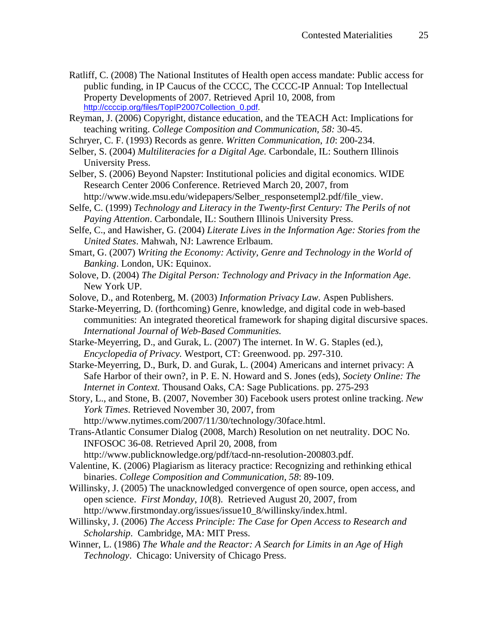- Ratliff, C. (2008) The National Institutes of Health open access mandate: Public access for public funding, in IP Caucus of the CCCC, The CCCC-IP Annual: Top Intellectual Property Developments of 2007. Retrieved April 10, 2008, from [http://ccccip.org/files/TopIP2007Collection\\_0.pdf](http://ccccip.org/files/TopIP2007Collection_0.pdf).
- Reyman, J. (2006) Copyright, distance education, and the TEACH Act: Implications for teaching writing. *College Composition and Communication, 58:* 30-45.
- Schryer, C. F. (1993) Records as genre. *Written Communication*, *10*: 200-234.
- Selber, S. (2004) *Multiliteracies for a Digital Age.* Carbondale, IL: Southern Illinois University Press.
- Selber, S. (2006) Beyond Napster: Institutional policies and digital economics. WIDE Research Center 2006 Conference. Retrieved March 20, 2007, from http://www.wide.msu.edu/widepapers/Selber\_responsetempl2.pdf/file\_view.
- Selfe, C. (1999) *Technology and Literacy in the Twenty-first Century: The Perils of not Paying Attention*. Carbondale, IL: Southern Illinois University Press.
- Selfe, C., and Hawisher, G. (2004) *Literate Lives in the Information Age: Stories from the United States*. Mahwah, NJ: Lawrence Erlbaum.
- Smart, G. (2007) *Writing the Economy: Activity, Genre and Technology in the World of Banking*. London, UK: Equinox.
- Solove, D. (2004) *The Digital Person: Technology and Privacy in the Information Age*. New York UP.
- Solove, D., and Rotenberg, M. (2003) *Information Privacy Law*. Aspen Publishers.
- Starke-Meyerring, D. (forthcoming) Genre, knowledge, and digital code in web-based communities: An integrated theoretical framework for shaping digital discursive spaces. *International Journal of Web-Based Communities.*
- Starke-Meyerring, D., and Gurak, L. (2007) The internet. In W. G. Staples (ed.), *Encyclopedia of Privacy.* Westport, CT: Greenwood. pp. 297-310.
- Starke-Meyerring, D., Burk, D. and Gurak, L. (2004) Americans and internet privacy: A Safe Harbor of their own?, in P. E. N. Howard and S. Jones (eds), *Society Online: The Internet in Context.* Thousand Oaks, CA: Sage Publications. pp. 275-293
- Story, L., and Stone, B. (2007, November 30) Facebook users protest online tracking. *New York Times*. Retrieved November 30, 2007, from http://www.nytimes.com/2007/11/30/technology/30face.html.
- Trans-Atlantic Consumer Dialog (2008, March) Resolution on net neutrality. DOC No.

INFOSOC 36-08. Retrieved April 20, 2008, from

http://www.publicknowledge.org/pdf/tacd-nn-resolution-200803.pdf.

- Valentine, K. (2006) Plagiarism as literacy practice: Recognizing and rethinking ethical binaries. *College Composition and Communication, 58*: 89-109.
- Willinsky, J. (2005) The unacknowledged convergence of open source, open access, and open science. *First Monday*, *10*(8). Retrieved August 20, 2007, from http://www.firstmonday.org/issues/issue10\_8/willinsky/index.html.
- Willinsky, J. (2006) *The Access Principle: The Case for Open Access to Research and Scholarship*. Cambridge, MA: MIT Press.
- Winner, L. (1986) *The Whale and the Reactor: A Search for Limits in an Age of High Technology*. Chicago: University of Chicago Press.